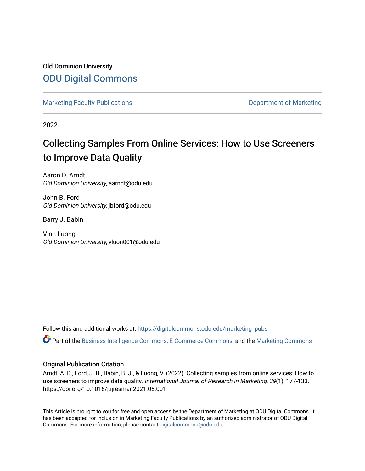Old Dominion University [ODU Digital Commons](https://digitalcommons.odu.edu/) 

[Marketing Faculty Publications](https://digitalcommons.odu.edu/marketing_pubs) **Department of Marketing** Department of Marketing

2022

# Collecting Samples From Online Services: How to Use Screeners to Improve Data Quality

Aaron D. Arndt Old Dominion University, aarndt@odu.edu

John B. Ford Old Dominion University, jbford@odu.edu

Barry J. Babin

Vinh Luong Old Dominion University, vluon001@odu.edu

Follow this and additional works at: [https://digitalcommons.odu.edu/marketing\\_pubs](https://digitalcommons.odu.edu/marketing_pubs?utm_source=digitalcommons.odu.edu%2Fmarketing_pubs%2F20&utm_medium=PDF&utm_campaign=PDFCoverPages)

Part of the [Business Intelligence Commons,](http://network.bepress.com/hgg/discipline/1326?utm_source=digitalcommons.odu.edu%2Fmarketing_pubs%2F20&utm_medium=PDF&utm_campaign=PDFCoverPages) [E-Commerce Commons](http://network.bepress.com/hgg/discipline/624?utm_source=digitalcommons.odu.edu%2Fmarketing_pubs%2F20&utm_medium=PDF&utm_campaign=PDFCoverPages), and the [Marketing Commons](http://network.bepress.com/hgg/discipline/638?utm_source=digitalcommons.odu.edu%2Fmarketing_pubs%2F20&utm_medium=PDF&utm_campaign=PDFCoverPages)

## Original Publication Citation

Arndt, A. D., Ford, J. B., Babin, B. J., & Luong, V. (2022). Collecting samples from online services: How to use screeners to improve data quality. International Journal of Research in Marketing, 39(1), 177-133. https://doi.org/10.1016/j.ijresmar.2021.05.001

This Article is brought to you for free and open access by the Department of Marketing at ODU Digital Commons. It has been accepted for inclusion in Marketing Faculty Publications by an authorized administrator of ODU Digital Commons. For more information, please contact [digitalcommons@odu.edu](mailto:digitalcommons@odu.edu).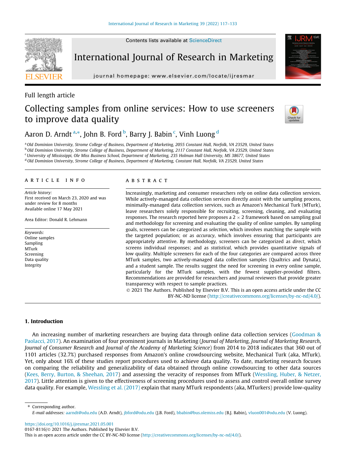

International Journal of Research in Marketing

journal homepage: [www.elsevier.com/locate/ijresmar](http://www.elsevier.com/locate/ijresmar)

## Full length article

## Collecting samples from online services: How to use screeners to improve data quality



Aaron D. Arndt <sup>a,</sup>\*, John B. Ford <sup>b</sup>, Barry J. Babin <sup>c</sup>, Vinh Luong <sup>d</sup>

a Old Dominion University, Strome College of Business, Department of Marketing, 2055 Constant Hall, Norfolk, VA 23529, United States **b Old Dominion University, Strome College of Business, Department of Marketing, 2117 Constant Hall, Norfolk, VA 23529, United States** <sup>c</sup>University of Mississippi, Ole Miss Business School, Department of Marketing, 235 Holman Hall University, MS 38677, United States <sup>d</sup> Old Dominion University, Strome College of Business, Department of Marketing, Constant Hall, Norfolk, VA 23529, United States

## article info

Article history: First received on March 23, 2020 and was under review for 8 months Available online 17 May 2021

Area Editor: Donald R. Lehmann

Keywords: Online samples Sampling MTurk Screening Data quality Integrity

## **ABSTRACT**

Increasingly, marketing and consumer researchers rely on online data collection services. While actively-managed data collection services directly assist with the sampling process, minimally-managed data collection services, such as Amazon's Mechanical Turk (MTurk), leave researchers solely responsible for recruiting, screening, cleaning, and evaluating responses. The research reported here proposes a 2  $\times$  2 framework based on sampling goal and methodology for screening and evaluating the quality of online samples. By sampling goals, screeners can be categorized as selection, which involves matching the sample with the targeted population; or as accuracy, which involves ensuring that participants are appropriately attentive. By methodology, screeners can be categorized as direct, which screens individual responses; and as statistical, which provides quantitative signals of low quality. Multiple screeners for each of the four categories are compared across three MTurk samples, two actively-managed data collection samples (Qualtrics and Dynata), and a student sample. The results suggest the need for screening in every online sample, particularly for the MTurk samples, with the fewest supplier-provided filters. Recommendations are provided for researchers and journal reviewers that provide greater transparency with respect to sample practices.

 2021 The Authors. Published by Elsevier B.V. This is an open access article under the CC BY-NC-ND license [\(http://creativecommons.org/licenses/by-nc-nd/4.0/\)](http://creativecommons.org/licenses/by-nc-nd/4.0/).

## 1. Introduction

An increasing number of marketing researchers are buying data through online data collection services ([Goodman &](#page-16-0) [Paolacci, 2017](#page-16-0)). An examination of four prominent journals in Marketing (Journal of Marketing, Journal of Marketing Research, Journal of Consumer Research and Journal of the Academy of Marketing Science) from 2014 to 2018 indicates that 360 out of 1101 articles (32.7%) purchased responses from Amazon's online crowdsourcing website, Mechanical Turk (aka, MTurk). Yet, only about 16% of these studies report procedures used to achieve data quality. To date, marketing research focuses on comparing the reliability and generalizability of data obtained through online crowdsourcing to other data sources [\(Kees, Berry, Burton, & Sheehan, 2017](#page-16-0)) and assessing the veracity of responses from MTurk [\(Wessling, Huber, & Netzer,](#page-17-0) [2017\)](#page-17-0). Little attention is given to the effectiveness of screening procedures used to assess and control overall online survey data quality. For example, [Wessling et al. \(2017\)](#page-17-0) explain that many MTurk respondents (aka, MTurkers) provide low-quality

⇑ Corresponding author.

<https://doi.org/10.1016/j.ijresmar.2021.05.001>

E-mail addresses: [aarndt@odu.edu](mailto:aarndt@odu.edu) (A.D. Arndt), [jbford@odu.edu](mailto:jbford@odu.edu) (J.B. Ford), [bbabin@bus.olemiss.edu](mailto:bbabin@bus.olemiss.edu) (B.J. Babin), [vluon001@odu.edu](mailto:vluon001@odu.edu) (V. Luong).

<sup>0167-8116/ 2021</sup> The Authors. Published by Elsevier B.V.

This is an open access article under the CC BY-NC-ND license [\(http://creativecommons.org/licenses/by-nc-nd/4.0/](http://creativecommons.org/licenses/by-nc-nd/4.0/)).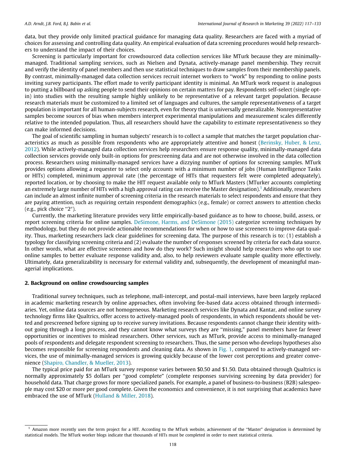data, but they provide only limited practical guidance for managing data quality. Researchers are faced with a myriad of choices for assessing and controlling data quality. An empirical evaluation of data screening procedures would help researchers to understand the impact of their choices.

Screening is particularly important for crowdsourced data collection services like MTurk because they are minimallymanaged. Traditional sampling services, such as Nielsen and Dynata, actively-manage panel membership. They recruit and verify the identity of panel members and then use statistical techniques to draw samples from their membership panels. By contrast, minimally-managed data collection services recruit internet workers to ''work" by responding to online posts inviting survey participants. The effort made to verify participant identity is minimal. An MTurk work request is analogous to putting a billboard up asking people to send their opinions on certain matters for pay. Respondents self-select (single optin) into studies with the resulting sample highly unlikely to be representative of a relevant target population. Because research materials must be customized to a limited set of languages and cultures, the sample representativeness of a target population is important for all human-subjects research, even for theory that is universally generalizable. Nonrepresentative samples become sources of bias when members interpret experimental manipulations and measurement scales differently relative to the intended population. Thus, all researchers should have the capability to estimate representativeness so they can make informed decisions.

The goal of scientific sampling in human subjects' research is to collect a sample that matches the target population characteristics as much as possible from respondents who are appropriately attentive and honest [\(Berinsky, Huber, & Lenz,](#page-16-0) [2012\)](#page-16-0). While actively-managed data collection services help researchers ensure response quality, minimally-managed data collection services provide only built-in options for prescreening data and are not otherwise involved in the data collection process. Researchers using minimally-managed services have a dizzying number of options for screening samples. MTurk provides options allowing a requester to select only accounts with a minimum number of jobs (Human Intelligence Tasks or HITs) completed, minimum approval rate (the percentage of HITs that requesters felt were completed adequately), reported location, or by choosing to make the HIT request available only to MTurk Masters (MTurker accounts completing an extremely large number of HITs with a high approval rating can receive the Master designation).<sup>1</sup> Additionally, researchers can include an almost infinite number of screening criteria in the research materials to select respondents and ensure that they are paying attention, such as requiring certain respondent demographics (e.g., female) or correct answers to attention checks (e.g., pick choice  $"2"$ ).

Currently, the marketing literature provides very little empirically-based guidance as to how to choose, build, assess, or report screening criteria for online samples. [DeSimone, Harms, and DeSimone \(2015\)](#page-16-0) categorize screening techniques by methodology, but they do not provide actionable recommendations for when or how to use screeners to improve data quality. Thus, marketing researchers lack clear guidelines for screening data. The purpose of this research is to: (1) establish a typology for classifying screening criteria and (2) evaluate the number of responses screened by criteria for each data source. In other words, what are effective screeners and how do they work? Such insight should help researchers who opt to use online samples to better evaluate response validity and, also, to help reviewers evaluate sample quality more effectively. Ultimately, data generalizability is necessary for external validity and, subsequently, the development of meaningful managerial implications.

## 2. Background on online crowdsourcing samples

Traditional survey techniques, such as telephone, mall-intercept, and postal-mail interviews, have been largely replaced in academic marketing research by online approaches, often involving fee-based data access obtained through intermediaries. Yet, online data sources are not homogeneous. Marketing research services like Dynata and Kantar, and online survey technology firms like Qualtrics, offer access to actively-managed pools of respondents, in which respondents should be vetted and prescreened before signing up to receive survey invitations. Because respondents cannot change their identity without going through a long process, and they cannot know what surveys they are ''missing," panel members have far fewer opportunities or incentives to mislead researchers. Other services, such as MTurk, provide access to minimally-managed pools of respondents and delegate respondent screening to researchers. Thus, the same person who develops hypotheses also becomes responsible for screening respondents and cleaning data. As shown in [Fig. 1](#page-3-0), compared to actively-managed services, the use of minimally-managed services is growing quickly because of the lower cost perceptions and greater convenience [\(Shapiro, Chandler, & Mueller, 2013](#page-17-0)).

The typical price paid for an MTurk survey response varies between \$0.50 and \$1.50. Data obtained through Qualtrics is normally approximately \$5 dollars per ''good complete" (complete responses surviving screening by data provider) for household data. That charge grows for more specialized panels. For example, a panel of business-to-business (B2B) salespeople may cost \$20 or more per good complete. Given the economics and convenience, it is not surprising that academics have embraced the use of MTurk ([Hulland & Miller, 2018](#page-16-0)).

<sup>1</sup> Amazon more recently uses the term project for a HIT. According to the MTurk website, achievement of the ''Master" designation is determined by statistical models. The MTurk worker blogs indicate that thousands of HITs must be completed in order to meet statistical criteria.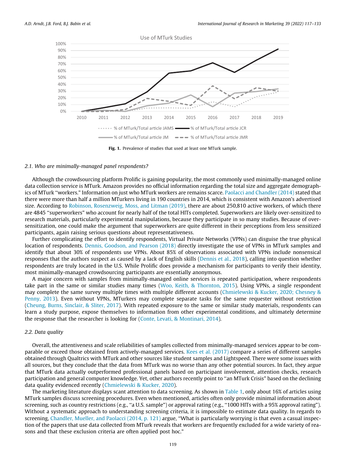<span id="page-3-0"></span>

Fig. 1. Prevalence of studies that used at least one MTurk sample.

#### 2.1. Who are minimally-managed panel respondents?

Although the crowdsourcing platform Prolific is gaining popularity, the most commonly used minimally-managed online data collection service is MTurk. Amazon provides no official information regarding the total size and aggregate demographics of MTurk ''workers." Information on just who MTurk workers are remains scarce. [Paolacci and Chandler \(2014\)](#page-16-0) stated that there were more than half a million MTurkers living in 190 countries in 2014, which is consistent with Amazon's advertised size. According to [Robinson, Rosenzweig, Moss, and Litman \(2019\),](#page-17-0) there are about 250,810 active workers, of which there are 4845 ''superworkers" who account for nearly half of the total HITs completed. Superworkers are likely over-sensitized to research materials, particularly experimental manipulations, because they participate in so many studies. Because of oversensitization, one could make the argument that superworkers are quite different in their perceptions from less sensitized participants, again raising serious questions about representativeness.

Further complicating the effort to identify respondents, Virtual Private Networks (VPNs) can disguise the true physical location of respondents. [Dennis, Goodson, and Pearson \(2018\)](#page-16-0) directly investigate the use of VPNs in MTurk samples and identify that about 30% of respondents use VPNs. About 85% of observations associated with VPNs include nonsensical responses that the authors suspect as caused by a lack of English skills ([Dennis et al., 2018](#page-16-0)), calling into question whether respondents are truly located in the U.S. While Prolific does provide a mechanism for participants to verify their identity, most minimally-managed crowdsourcing participants are essentially anonymous.

A major concern with samples from minimally-managed online services is repeated participation, where respondents take part in the same or similar studies many times ([Woo, Keith, & Thornton, 2015](#page-17-0)). Using VPNs, a single respondent may complete the same survey multiple times with multiple different accounts ([Chmielewski & Kucker, 2020; Chesney &](#page-16-0) [Penny, 2013](#page-16-0)). Even without VPNs, MTurkers may complete separate tasks for the same requester without restriction [\(Cheung, Burns, Sinclair, & Sliter, 2017](#page-16-0)). With repeated exposure to the same or similar study materials, respondents can learn a study purpose, expose themselves to information from other experimental conditions, and ultimately determine the response that the researcher is looking for ([Conte, Levati, & Montinari, 2014\)](#page-16-0).

## 2.2. Data quality

Overall, the attentiveness and scale reliabilities of samples collected from minimally-managed services appear to be comparable or exceed those obtained from actively-managed services. [Kees et al. \(2017\)](#page-16-0) compare a series of different samples obtained through Qualtrics with MTurk and other sources like student samples and Lightspeed. There were some issues with all sources, but they conclude that the data from MTurk was no worse than any other potential sources. In fact, they argue that MTurk data actually outperformed professional panels based on participant involvement, attention checks, research participation and general computer knowledge. Yet, other authors recently point to ''an MTurk Crisis" based on the declining data quality evidenced recently [\(Chmielewski & Kucker, 2020\)](#page-16-0).

The marketing literature displays scant attention to data screening. As shown in [Table 1,](#page-4-0) only about 16% of articles using MTurk samples discuss screening procedures. Even when mentioned, articles often only provide minimal information about screening, such as country restrictions (e.g., ''a U.S. sample") or approval rating (e.g., ''1000 HITs with a 95% approval rating"). Without a systematic approach to understanding screening criteria, it is impossible to estimate data quality. In regards to screening, [Chandler, Mueller, and Paolacci \(2014, p. 121\)](#page-16-0) argue, ''What is particularly worrying is that even a casual inspection of the papers that use data collected from MTurk reveals that workers are frequently excluded for a wide variety of reasons and that these exclusion criteria are often applied post hoc."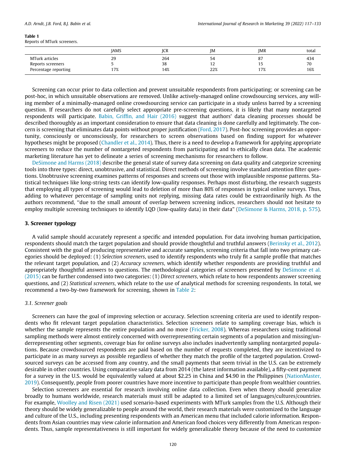<span id="page-4-0"></span>Reports of MTurk screeners.

|                                                             | <b>JAMS</b> | ICR              | ΙM              | JMR             | total            |
|-------------------------------------------------------------|-------------|------------------|-----------------|-----------------|------------------|
| MTurk articles<br>Reports screeners<br>Percentage reporting | 29<br>17%   | 264<br>38<br>14% | 54<br>14<br>22% | 87<br>15<br>17% | 434<br>70<br>16% |

Screening can occur prior to data collection and prevent unsuitable respondents from participating; or screening can be post-hoc, in which unsuitable observations are removed. Unlike actively-managed online crowdsourcing services, any willing member of a minimally-managed online crowdsourcing service can participate in a study unless barred by a screening question. If researchers do not carefully select appropriate pre-screening questions, it is likely that many nontargeted respondents will participate. [Babin, Griffin, and Hair \(2016\)](#page-16-0) suggest that authors' data cleaning processes should be described thoroughly as an important consideration to ensure that data cleaning is done carefully and legitimately. The concern is screening that eliminates data points without proper justification ([Ford, 2017\)](#page-16-0). Post-hoc screening provides an opportunity, consciously or unconsciously, for researchers to screen observations based on finding support for whatever hypotheses might be proposed [\(Chandler et al., 2014](#page-16-0)). Thus, there is a need to develop a framework for applying appropriate screeners to reduce the number of nontargeted respondents from participating and to ethically clean data. The academic marketing literature has yet to delineate a series of screening mechanisms for researchers to follow.

[DeSimone and Harms \(2018\)](#page-16-0) describe the general state of survey data screening on data quality and categorize screening tools into three types: direct, unobtrusive, and statistical. Direct methods of screening involve standard attention filter questions. Unobtrusive screening examines patterns of responses and screens out those with implausible response patterns. Statistical techniques like long-string tests can identify low-quality responses. Perhaps most disturbing, the research suggests that employing all types of screening would lead to deletion of more than 80% of responses in typical online surveys. Thus, adding to whatever percentage of sampling units not replying, missing data rates could be extraordinarily high. As the authors recommend, ''due to the small amount of overlap between screening indices, researchers should not hesitate to employ multiple screening techniques to identify LQD (low-quality data) in their data" ([DeSimone & Harms, 2018, p. 575](#page-16-0)).

## 3. Screener typology

A valid sample should accurately represent a specific and intended population. For data involving human participation, respondents should match the target population and should provide thoughtful and truthful answers [\(Berinsky et al., 2012](#page-16-0)). Consistent with the goal of producing representative and accurate samples, screening criteria that fall into two primary categories should be deployed: (1) Selection screeners, used to identify respondents who truly fit a sample profile that matches the relevant target population, and (2) Accuracy screeners, which identify whether respondents are providing truthful and appropriately thoughtful answers to questions. The methodological categories of screeners presented by [DeSimone et al.](#page-16-0) [\(2015\)](#page-16-0) can be further condensed into two categories: (1) Direct screeners, which relate to how respondents answer screening questions, and (2) Statistical screeners, which relate to the use of analytical methods for screening respondents. In total, we recommend a two-by-two framework for screening, shown in [Table 2](#page-5-0):

## 3.1. Screener goals

Screeners can have the goal of improving selection or accuracy. Selection screening criteria are used to identify respondents who fit relevant target population characteristics. Selection screeners relate to sampling coverage bias, which is whether the sample represents the entire population and no more ([Fricker, 2008\)](#page-16-0). Whereas researchers using traditional sampling methods were almost entirely concerned with overrepresenting certain segments of a population and missing/underrepresenting other segments, coverage bias for online surveys also includes inadvertently sampling nontargeted populations. Because crowdsourced respondents are paid based on the number of requests completed, they are incentivized to participate in as many surveys as possible regardless of whether they match the profile of the targeted population. Crowdsourced surveys can be accessed from any country, and the small payments that seem trivial in the U.S. can be extremely desirable in other countries. Using comparative salary data from 2014 (the latest information available), a fifty-cent payment for a survey in the U.S. would be equivalently valued at about \$2.25 in China and \$4.90 in the Philippines ([NationMaster,](#page-16-0) [2019\)](#page-16-0). Consequently, people from poorer countries have more incentive to participate than people from wealthier countries.

Selection screeners are essential for research involving online data collection. Even when theory should generalize broadly to humans worldwide, research materials must still be adapted to a limited set of languages/cultures/countries. For example, [Woolley and Risen \(2021\)](#page-17-0) used scenario-based experiments with MTurk samples from the U.S. Although their theory should be widely generalizable to people around the world, their research materials were customized to the language and culture of the U.S., including presenting respondents with an American menu that included calorie information. Respondents from Asian countries may view calorie information and American food choices very differently from American respondents. Thus, sample representativeness is still important for widely generalizable theory because of the need to customize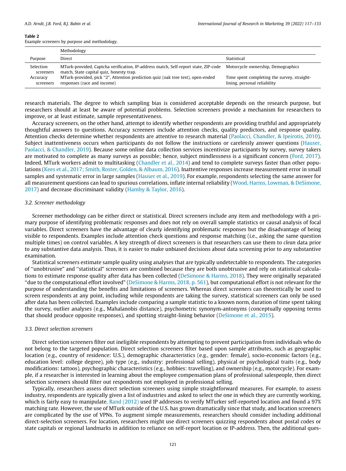<span id="page-5-0"></span>Example screeners by purpose and methodology.

|                               | Methodology                                                                                                                     |                                                                             |  |  |  |  |  |  |  |  |  |
|-------------------------------|---------------------------------------------------------------------------------------------------------------------------------|-----------------------------------------------------------------------------|--|--|--|--|--|--|--|--|--|
| Purpose                       | Direct                                                                                                                          | Statistical                                                                 |  |  |  |  |  |  |  |  |  |
| <b>Selection</b><br>screeners | MTurk-provided, Captcha verification, IP-address match, Self-report state, ZIP-code<br>match, State capital quiz, honesty trap. | Motorcycle ownership, Demographics                                          |  |  |  |  |  |  |  |  |  |
| Accuracy<br>screeners         | MTurk-provided, pick "2", Attention prediction quiz (oak tree test), open-ended<br>responses (race and income)                  | Time spent completing the survey, straight-<br>lining, personal reliability |  |  |  |  |  |  |  |  |  |

research materials. The degree to which sampling bias is considered acceptable depends on the research purpose, but researchers should at least be aware of potential problems. Selection screeners provide a mechanism for researchers to improve, or at least estimate, sample representativeness.

Accuracy screeners, on the other hand, attempt to identify whether respondents are providing truthful and appropriately thoughtful answers to questions. Accuracy screeners include attention checks, quality predictors, and response quality. Attention checks determine whether respondents are attentive to research material ([Paolacci, Chandler, & Ipeirotis, 2010](#page-17-0)). Subject inattentiveness occurs when participants do not follow the instructions or carelessly answer questions ([Hauser,](#page-16-0) [Paolacci, & Chandler, 2019\)](#page-16-0). Because some online data collection services incentivize participants by survey, survey takers are motivated to complete as many surveys as possible; hence, subject mindlessness is a significant concern ([Ford, 2017](#page-16-0)). Indeed, MTurk workers admit to multitasking ([Chandler et al., 2014](#page-16-0)) and tend to complete surveys faster than other populations [\(Kees et al., 2017; Smith, Roster, Golden, & Albaum, 2016\)](#page-16-0). Inattentive responses increase measurement error in small samples and systematic error in large samples ([Hauser et al., 2019](#page-16-0)). For example, respondents selecting the same answer for all measurement questions can lead to spurious correlations, inflate internal reliability [\(Wood, Harms, Lowman, & DeSimone,](#page-17-0) [2017\)](#page-17-0) and decrease discriminant validity [\(Hamby & Taylor, 2016\)](#page-16-0).

#### 3.2. Screener methodology

Screener methodology can be either direct or statistical. Direct screeners include any item and methodology with a primary purpose of identifying problematic responses and does not rely on overall sample statistics or causal analysis of focal variables. Direct screeners have the advantage of clearly identifying problematic responses but the disadvantage of being visible to respondents. Examples include attention check questions and response matching (i.e., asking the same question multiple times) on control variables. A key strength of direct screeners is that researchers can use them to *clean* data prior to any substantive data analysis. Thus, it is easier to make unbiased decisions about data screening prior to any substantive examination.

Statistical screeners estimate sample quality using analyses that are typically undetectable to respondents. The categories of ''unobtrusive" and ''statistical" screeners are combined because they are both unobtrusive and rely on statistical calculations to estimate response quality after data has been collected ([DeSimone & Harms, 2018\)](#page-16-0). They were originally separated ''due to the computational effort involved" ([DeSimone & Harms, 2018, p. 561\)](#page-16-0), but computational effort is not relevant for the purpose of understanding the benefits and limitations of screeners. Whereas direct screeners can theoretically be used to screen respondents at any point, including while respondents are taking the survey, statistical screeners can only be used after data has been collected. Examples include comparing a sample statistic to a known norm, duration of time spent taking the survey, outlier analyses (e.g., Mahalanobis distance), psychometric synonym-antonyms (conceptually opposing terms that should produce opposite responses), and spotting straight-lining behavior [\(DeSimone et al., 2015](#page-16-0)).

#### 3.3. Direct selection screeners

Direct selection screeners filter out ineligible respondents by attempting to prevent participation from individuals who do not belong to the targeted population. Direct selection screeners filter based upon sample attributes, such as geographic location (e.g., country of residence: U.S.), demographic characteristics (e.g., gender: female), socio-economic factors (e.g., education level: college degree), job type (e.g., industry: professional selling), physical or psychological traits (e.g., body modifications: tattoos), psychographic characteristics (e.g., hobbies: travelling), and ownership (e.g., motorcycle). For example, if a researcher is interested in learning about the employee compensation plans of professional salespeople, then direct selection screeners should filter out respondents not employed in professional selling.

Typically, researchers assess direct selection screeners using simple straightforward measures. For example, to assess industry, respondents are typically given a list of industries and asked to select the one in which they are currently working, which is fairly easy to manipulate. [Rand \(2012\)](#page-17-0) used IP addresses to verify MTurker self-reported location and found a 97% matching rate. However, the use of MTurk outside of the U.S. has grown dramatically since that study, and location screeners are complicated by the use of VPNs. To augment simple measurements, researchers should consider including additional direct-selection screeners. For location, researchers might use direct screeners quizzing respondents about postal codes or state capitals or regional landmarks in addition to reliance on self-report location or IP-address. Then, the additional ques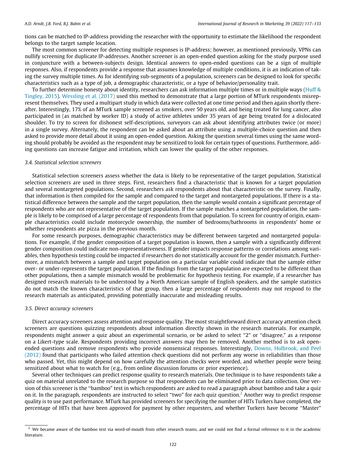tions can be matched to IP-address providing the researcher with the opportunity to estimate the likelihood the respondent belongs to the target sample location.

The most common screener for detecting multiple responses is IP-address; however, as mentioned previously, VPNs can nullify screening for duplicate IP-addresses. Another screener is an open-ended question asking for the study purpose used in conjuncture with a between-subjects design. Identical answers to open-ended questions can be a sign of multiple responses. Also, if respondents provide a response that assumes knowledge of multiple conditions, it is an indication of taking the survey multiple times. As for identifying sub-segments of a population, screeners can be designed to look for specific characteristics such as a type of job, a demographic characteristic, or a type of behavior/personality trait.

To further determine honesty about identity, researchers can ask information multiple times or in multiple ways ([Huff &](#page-16-0) [Tingley, 2015](#page-16-0)). [Wessling et al. \(2017\)](#page-17-0) used this method to demonstrate that a large portion of MTurk respondents misrepresent themselves. They used a multipart study in which data were collected at one time period and then again shortly thereafter. Interestingly, 17% of an MTurk sample screened as smokers, over 50 years old, and being treated for lung cancer, also participated in (as matched by worker ID) a study of active athletes under 35 years of age being treated for a dislocated shoulder. To try to screen for dishonest self-descriptions, surveyors can ask about identifying attributes twice (or more) in a single survey. Alternately, the respondent can be asked about an attribute using a multiple-choice question and then asked to provide more detail about it using an open-ended question. Asking the question several times using the same wording should probably be avoided as the respondent may be sensitized to look for certain types of questions. Furthermore, adding questions can increase fatigue and irritation, which can lower the quality of the other responses.

## 3.4. Statistical selection screeners

Statistical selection screeners assess whether the data is likely to be representative of the target population. Statistical selection screeners are used in three steps. First, researchers find a characteristic that is known for a target population and several nontargeted populations. Second, researchers ask respondents about that characteristic on the survey. Finally, that information is then compiled for the sample and compared to the target and nontargeted populations. If there is a statistical difference between the sample and the target population, then the sample would contain a significant percentage of respondents who are not representative of the target population. If the sample matches a nontargeted population, the sample is likely to be comprised of a large percentage of respondents from that population. To screen for country of origin, example characteristics could include motorcycle ownership, the number of bedrooms/bathrooms in respondents' home or whether respondents ate pizza in the previous month.

For some research purposes, demographic characteristics may be different between targeted and nontargeted populations. For example, if the gender composition of a target population is known, then a sample with a significantly different gender composition could indicate non-representativeness. If gender impacts response patterns or correlations among variables, then hypothesis testing could be impacted if researchers do not statistically account for the gender mismatch. Furthermore, a mismatch between a sample and target population on a particular variable could indicate that the sample either over- or under-represents the target population. If the findings from the target population are expected to be different than other populations, then a sample mismatch would be problematic for hypothesis testing. For example, if a researcher has designed research materials to be understood by a North American sample of English speakers, and the sample statistics do not match the known characteristics of that group, then a large percentage of respondents may not respond to the research materials as anticipated, providing potentially inaccurate and misleading results.

## 3.5. Direct accuracy screeners

Direct accuracy screeners assess attention and response quality. The most straightforward direct accuracy attention check screeners are questions quizzing respondents about information directly shown in the research materials. For example, respondents might answer a quiz about an experimental scenario, or be asked to select "2" or "disagree," as a response on a Likert-type scale. Respondents providing incorrect answers may then be removed. Another method is to ask openended questions and remove respondents who provide nonsensical responses. Interestingly, [Downs, Holbrook, and Peel](#page-16-0) [\(2012\)](#page-16-0) found that participants who failed attention check questions did not perform any worse in reliabilities than those who passed. Yet, this might depend on how carefully the attention checks were worded, and whether people were being sensitized about what to watch for (e.g., from online discussion forums or prior experience).

Several other techniques can predict response quality to research materials. One technique is to have respondents take a quiz on material unrelated to the research purpose so that respondents can be eliminated prior to data collection. One version of this screener is the ''bamboo" test in which respondents are asked to read a paragraph about bamboo and take a quiz on it. In the paragraph, respondents are instructed to select ''two" for each quiz question.2 Another way to predict response quality is to use past performance. MTurk has provided screeners for specifying the number of HITs Turkers have completed, the percentage of HITs that have been approved for payment by other requesters, and whether Turkers have become ''Master"

<sup>&</sup>lt;sup>2</sup> We became aware of the bamboo test via word-of-mouth from other research teams, and we could not find a formal reference to it in the academic literature.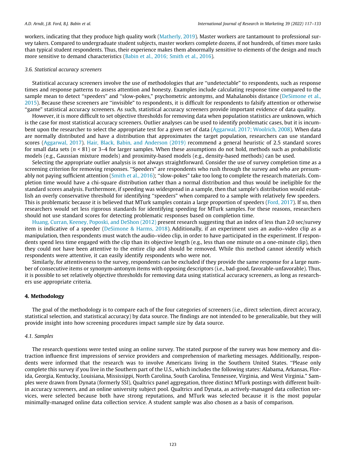workers, indicating that they produce high quality work ([Matherly, 2019](#page-16-0)). Master workers are tantamount to professional survey takers. Compared to undergraduate student subjects, master workers complete dozens, if not hundreds, of times more tasks than typical student respondents. Thus, their experience makes them abnormally sensitive to elements of the design and much more sensitive to demand characteristics [\(Babin et al., 2016; Smith et al., 2016\)](#page-16-0).

## 3.6. Statistical accuracy screeners

Statistical accuracy screeners involve the use of methodologies that are ''undetectable" to respondents, such as response times and response patterns to assess attention and honesty. Examples include calculating response time compared to the sample mean to detect "speeders" and "slow-pokes," psychometric antonyms, and Mahalanobis distance ([DeSimone et al.,](#page-16-0) [2015\)](#page-16-0). Because these screeners are ''invisible" to respondents, it is difficult for respondents to falsify attention or otherwise ''game" statistical accuracy screeners. As such, statistical accuracy screeners provide important evidence of data quality.

However, it is more difficult to set objective thresholds for removing data when population statistics are unknown, which is the case for most statistical accuracy screeners. Outlier analyses can be used to identify problematic cases, but it is incumbent upon the researcher to select the appropriate test for a given set of data [\(Aggarwal, 2017; Woolrich, 2008\)](#page-16-0). When data are normally distributed and have a distribution that approximates the target population, researchers can use standard scores ([Aggarwal, 2017\)](#page-16-0). [Hair, Black, Babin, and Anderson \(2019\)](#page-16-0) recommend a general heuristic of 2.5 standard scores for small data sets ( $n < 81$ ) or 3–4 for larger samples. When these assumptions do not hold, methods such as probabilistic models (e.g., Gaussian mixture models) and proximity-based models (e.g., density-based methods) can be used.

Selecting the appropriate outlier analysis is not always straightforward. Consider the use of survey completion time as a screening criterion for removing responses. ''Speeders" are respondents who rush through the survey and who are presumably not paying sufficient attention [\(Smith et al., 2016](#page-17-0)); ''slow-pokes" take too long to complete the research materials. Completion time would have a chi-square distribution rather than a normal distribution and thus would be ineligible for the standard scores analysis. Furthermore, if speeding was widespread in a sample, then that sample's distribution would establish an overly conservative threshold for identifying ''speeders" when compared to a sample with relatively few speeders. This is problematic because it is believed that MTurk samples contain a large proportion of speeders [\(Ford, 2017](#page-16-0)). If so, then researchers would set less rigorous standards for identifying speeding for MTurk samples. For these reasons, researchers should not use standard scores for detecting problematic responses based on completion time.

[Huang, Curran, Keeney, Poposki, and DeShon \(2012\)](#page-16-0) present research suggesting that an index of less than 2.0 sec/survey item is indicative of a speeder ([DeSimone & Harms, 2018\)](#page-16-0). Additionally, if an experiment uses an audio–video clip as a manipulation, then respondents must watch the audio–video clip, in order to have participated in the experiment. If respondents spend less time engaged with the clip than its objective length (e.g., less than one minute on a one-minute clip), then they could not have been attentive to the entire clip and should be removed. While this method cannot identify which respondents were attentive, it can easily identify respondents who were not.

Similarly, for attentiveness to the survey, respondents can be excluded if they provide the same response for a large number of consecutive items or synonym-antonym items with opposing descriptors (i.e., bad-good, favorable-unfavorable). Thus, it is possible to set relatively objective thresholds for removing data using statistical accuracy screeners, as long as researchers use appropriate criteria.

## 4. Methodology

The goal of the methodology is to compare each of the four categories of screeners (i.e., direct selection, direct accuracy, statistical selection, and statistical accuracy) by data source. The findings are not intended to be generalizable, but they will provide insight into how screening procedures impact sample size by data source.

## 4.1. Samples

The research questions were tested using an online survey. The stated purpose of the survey was how memory and distraction influence first impressions of service providers and comprehension of marketing messages. Additionally, respondents were informed that the research was to involve Americans living in the Southern United States. ''Please only complete this survey if you live in the Southern part of the U.S., which includes the following states: Alabama, Arkansas, Florida, Georgia, Kentucky, Louisiana, Mississippi, North Carolina, South Carolina, Tennessee, Virginia, and West Virginia." Samples were drawn from Dynata (formerly SSI), Qualtrics panel aggregation, three distinct MTurk postings with different builtin accuracy screeners, and an online university subject pool. Qualtrics and Dynata, as actively-managed data collection services, were selected because both have strong reputations, and MTurk was selected because it is the most popular minimally-managed online data collection service. A student sample was also chosen as a basis of comparison.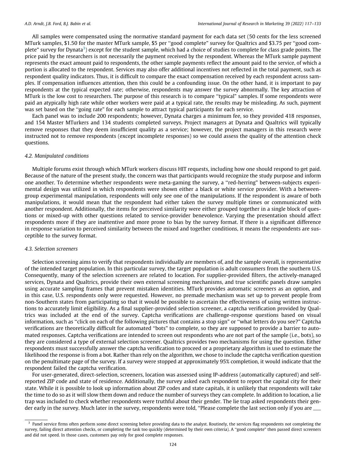All samples were compensated using the normative standard payment for each data set (50 cents for the less screened MTurk samples, \$1.50 for the master MTurk sample, \$5 per ''good complete" survey for Qualtrics and \$3.75 per ''good complete" survey for Dynata<sup>3</sup>) except for the student sample, which had a choice of studies to complete for class grade points. The price paid by the researchers is not necessarily the payment received by the respondent. Whereas the MTurk sample payment represents the exact amount paid to respondents, the other sample payments reflect the amount paid to the service, of which a portion is allocated to the respondent. Services may also offer additional incentives not reflected in the total payment, such as respondent quality indicators. Thus, it is difficult to compare the exact compensation received by each respondent across samples. If compensation influences attention, then this could be a confounding issue. On the other hand, it is important to pay respondents at the typical expected rate; otherwise, respondents may answer the survey abnormally. The key attraction of MTurk is the low cost to researchers. The purpose of this research is to compare ''typical" samples. If some respondents were paid an atypically high rate while other workers were paid at a typical rate, the results may be misleading. As such, payment was set based on the "going rate" for each sample to attract typical participants for each service.

Each panel was to include 200 respondents; however, Dynata charges a minimum fee, so they provided 418 responses, and 154 Master MTurkers and 134 students completed surveys. Project managers at Dynata and Qualtrics will typically remove responses that they deem insufficient quality as a service; however, the project managers in this research were instructed not to remove respondents (except incomplete responses) so we could assess the quality of the attention check questions.

## 4.2. Manipulated conditions

Multiple forums exist through which MTurk workers discuss HIT requests, including how one should respond to get paid. Because of the nature of the present study, the concern was that participants would recognize the study purpose and inform one another. To determine whether respondents were meta-gaming the survey, a ''red-herring" between-subjects experimental design was utilized in which respondents were shown either a black or white service provider. With a betweengroup experimental manipulation, respondents will only see one of the manipulations. If the respondent is aware of both manipulations, it would mean that the respondent had either taken the survey multiple times or communicated with another respondent. Additionally, the items for perceived similarity were either grouped together in a single block of questions or mixed-up with other questions related to service-provider benevolence. Varying the presentation should affect respondents more if they are inattentive and more prone to bias by the survey format. If there is a significant difference in response variation to perceived similarity between the mixed and together conditions, it means the respondents are susceptible to the survey format.

## 4.3. Selection screeners

Selection screening aims to verify that respondents individually are members of, and the sample overall, is representative of the intended target population. In this particular survey, the target population is adult consumers from the southern U.S. Consequently, many of the selection screeners are related to location. For supplier-provided filters, the actively-managed services, Dynata and Qualtrics, provide their own external screening mechanisms, and true scientific panels draw samples using accurate sampling frames that prevent mistaken identities. MTurk provides automatic screeners as an option, and in this case, U.S. respondents only were requested. However, no premade mechanism was set up to prevent people from non-Southern states from participating so that it would be possible to ascertain the effectiveness of using written instructions to accurately limit eligibility. As a final supplier-provided selection screener, a captcha verification provided by Qualtrics was included at the end of the survey. Captcha verifications are challenge-response questions based on visual information, such as ''click on each of the following pictures that contains a stop sign" or ''what letters do you see?" Captcha verifications are theoretically difficult for automated ''bots" to complete, so they are supposed to provide a barrier to automated responses. Captcha verifications are intended to screen out respondents who are not part of the sample (i.e., bots), so they are considered a type of external selection screener. Qualtrics provides two mechanisms for using the question. Either respondents must successfully answer the captcha verification to proceed or a proprietary algorithm is used to estimate the likelihood the response is from a bot. Rather than rely on the algorithm, we chose to include the captcha verification question on the penultimate page of the survey. If a survey were stopped at approximately 95% completion, it would indicate that the respondent failed the captcha verification.

For user-generated, direct-selection, screeners, location was assessed using IP-address (automatically captured) and selfreported ZIP code and state of residence. Additionally, the survey asked each respondent to report the capital city for their state. While it is possible to look up information about ZIP codes and state capitals, it is unlikely that respondents will take the time to do so as it will slow them down and reduce the number of surveys they can complete. In addition to location, a lie trap was included to check whether respondents were truthful about their gender. The lie trap asked respondents their gender early in the survey. Much later in the survey, respondents were told, "Please complete the last section only if you are

 $3$  Panel service firms often perform some direct screening before providing data to the analyst. Routinely, the services flag respondents not completing the survey, failing direct attention checks, or completing the task too quickly (determined by their own criteria). A ''good complete" then passed direct screeners and did not speed. In those cases, customers pay only for good complete responses.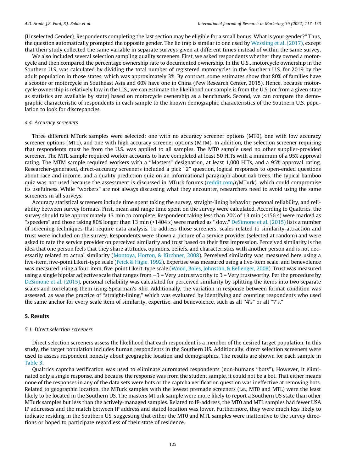{Unselected Gender}. Respondents completing the last section may be eligible for a small bonus. What is your gender?" Thus, the question automatically prompted the opposite gender. The lie trap is similar to one used by [Wessling et al. \(2017\),](#page-17-0) except that their study collected the same variable in separate surveys given at different times instead of within the same survey.

We also included several selection sampling quality screeners. First, we asked respondents whether they owned a motorcycle and then compared the percentage ownership rate to documented ownership. In the U.S., motorcycle ownership in the Southern U.S. was calculated by dividing the total number of registered motorcycles in the Southern U.S. for 2019 by the adult population in those states, which was approximately 3%. By contrast, some estimates show that 80% of families have a scooter or motorcycle in Southeast Asia and 60% have one in China (Pew Research Center, 2015). Hence, because motorcycle ownership is relatively low in the U.S., we can estimate the likelihood our sample is from the U.S. (or from a given state as statistics are available by state) based on motorcycle ownership as a benchmark. Second, we can compare the demographic characteristic of respondents in each sample to the known demographic characteristics of the Southern U.S. population to look for discrepancies.

## 4.4. Accuracy screeners

Three different MTurk samples were selected: one with no accuracy screener options (MT0), one with low accuracy screener options (MTL), and one with high accuracy screener options (MTM). In addition, the selection screener requiring that respondents must be from the U.S. was applied to all samples. The MT0 sample used no other supplier-provided screener. The MTL sample required worker accounts to have completed at least 50 HITs with a minimum of a 95% approval rating. The MTM sample required workers with a ''Masters" designation, at least 1,000 HITs, and a 95% approval rating. Researcher-generated, direct-accuracy screeners included a pick "2" question, logical responses to open-ended questions about race and income, and a quality prediction quiz on an informational paragraph about oak trees. The typical bamboo quiz was not used because the assessment is discussed in MTurk forums ([reddit.com/](#page-17-0)r/MTurk), which could compromise its usefulness. While ''workers" are not always discussing what they encounter, researchers need to avoid using the same screeners in all surveys.

Accuracy statistical screeners include time spent taking the survey, straight-lining behavior, personal reliability, and reliability between survey formats. First, mean and range time spent on the survey were calculated. According to Qualtrics, the survey should take approximately 13 min to complete. Respondent taking less than 20% of 13 min (<156 s) were marked as ''speeders" and those taking 80% longer than 13 min (>1404 s) were marked as ''slow." [DeSimone et al. \(2015\)](#page-16-0) lists a number of screening techniques that require data analysis. To address those screeners, scales related to similarity-attraction and trust were included on the survey. Respondents were shown a picture of a service provider (selected at random) and were asked to rate the service provider on perceived similarity and trust based on their first impression. Perceived similarity is the idea that one person feels that they share attitudes, opinions, beliefs, and characteristics with another person and is not necessarily related to actual similarity ([Montoya, Horton, & Kirchner, 2008](#page-16-0)). Perceived similarity was measured here using a five-item, five-point Likert-type scale [\(Feick & Higie, 1992](#page-16-0)). Expertise was measured using a five-item scale, and benevolence was measured using a four-item, five-point Likert-type scale ([Wood, Boles, Johnston, & Bellenger, 2008\)](#page-17-0). Trust was measured using a single bipolar adjective scale that ranges from  $-3$  = Very untrustworthy to 3 = Very trustworthy. Per the procedure by [DeSimone et al. \(2015\),](#page-16-0) personal reliability was calculated for perceived similarity by splitting the items into two separate scales and correlating them using Spearman's Rho. Additionally, the variation in response between format condition was assessed, as was the practice of ''straight-lining," which was evaluated by identifying and counting respondents who used the same anchor for every scale item of similarity, expertise, and benevolence, such as all ''4's" or all ''7's."

## 5. Results

## 5.1. Direct selection screeners

Direct selection screeners assess the likelihood that each respondent is a member of the desired target population. In this study, the target population includes human respondents in the Southern US. Additionally, direct selection screeners were used to assess respondent honesty about geographic location and demographics. The results are shown for each sample in [Table 3.](#page-10-0)

Qualtrics captcha verification was used to eliminate automated respondents (non-humans ''bots"). However, it eliminated only a single response, and because the response was from the student sample, it could not be a bot. That either means none of the responses in any of the data sets were bots or the captcha verification question was ineffective at removing bots. Related to geographic location, the MTurk samples with the lowest premade screeners (i.e., MT0 and MTL) were the least likely to be located in the Southern US. The masters MTurk sample were more likely to report a Southern US state than other MTurk samples but less than the actively-managed samples. Related to IP-address, the MT0 and MTL samples had fewer USA IP addresses and the match between IP address and stated location was lower. Furthermore, they were much less likely to indicate residing in the Southern US, suggesting that either the MT0 and MTL samples were inattentive to the survey directions or hoped to participate regardless of their state of residence.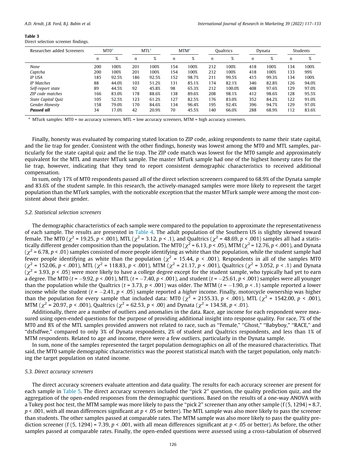<span id="page-10-0"></span>Direct selection screener findings.

| Researcher added Screeners | MT <sub>0</sub> <sup>a</sup> |       | MTL <sup>a</sup> |       |                  | <b>MTM</b> <sup>a</sup> | <b>Oualtrics</b> |        | Dynata |       | Students         |       |
|----------------------------|------------------------------|-------|------------------|-------|------------------|-------------------------|------------------|--------|--------|-------|------------------|-------|
|                            | n                            | %     | n                | %     | $\boldsymbol{n}$ | %                       | n                | %      | n      | %     | $\boldsymbol{n}$ | $\%$  |
| None                       | 200                          | 100%  | 201              | 100%  | 154              | 100%                    | 212              | 100%   | 418    | 100%  | 134              | 100%  |
| Captcha                    | 200                          | 100%  | 201              | 100%  | 154              | 100%                    | 212              | 100%   | 418    | 100%  | 133              | 99%   |
| <b>IP USA</b>              | 185                          | 92.5% | 186              | 92.5% | 152              | 98.7%                   | 211              | 99.5%  | 415    | 99.3% | 134              | 100%  |
| <b>IP</b> Matches          | 88                           | 44.0% | 103              | 51.2% | 131              | 85.1%                   | 174              | 82.1%  | 346    | 82.8% | 126              | 94.0% |
| Self-report state          | 89                           | 44.5% | 92               | 45.8% | 98               | 65.3%                   | 212              | 100.0% | 408    | 97.6% | 129              | 97.0% |
| ZIP code matches           | 166                          | 83.0% | 178              | 88.6% | 138              | 89.6%                   | 208              | 98.1%  | 412    | 98.6% | 128              | 95.5% |
| State Capital Quiz         | 105                          | 52.5% | 123              | 61.2% | 127              | 82.5%                   | 176              | 83.0%  | 352    | 84.2% | 122              | 91.0% |
| Gender Honesty             | 158                          | 79.0% | 170              | 84.6% | 134              | 96.4%                   | 195              | 92.4%  | 396    | 94.7% | 129              | 97.0% |
| <b>Passed all</b>          | 34                           | 17.0% | 42               | 20.9% | 70               | 45.5%                   | 140              | 66.0%  | 288    | 68.9% | 112              | 83.6% |

<sup>a</sup> MTurk samples: MT0 = no accuracy screeners, MTL = low accuracy screeners, MTM = high accuracy screeners.

Finally, honesty was evaluated by comparing stated location to ZIP code, asking respondents to name their state capital, and the lie trap for gender. Consistent with the other findings, honesty was lowest among the MT0 and MTL samples, particularly for the state capital quiz and the lie trap. The ZIP code match was lowest for the MT0 sample and approximately equivalent for the MTL and master MTurk sample. The master MTurk sample had one of the highest honesty rates for the lie trap, however, indicating that they tend to report consistent demographic characteristics to received additional compensation.

In sum, only 17% of MT0 respondents passed all of the direct selection screeners compared to 68.9% of the Dynata sample and 83.6% of the student sample. In this research, the actively-managed samples were more likely to represent the target population than the MTurk samples, with the noticeable exception that the master MTurk sample were among the most consistent about their gender.

## 5.2. Statistical selection screeners

The demographic characteristics of each sample were compared to the population to approximate the representativeness of each sample. The results are presented in [Table 4](#page-11-0). The adult population of the Southern US is slightly skewed toward female. The MT0 ( $\chi^2$  = 19.25, p < .001), MTL ( $\chi^2$  = 3.12, p < .1), and Qualtrics ( $\chi^2$  = 48.69, p < .001) samples all had a statistically different gender composition than the population. The MT0 ( $\chi^2$  = 6.13, p < .05), MTM ( $\chi^2$  = 12.76, p < .001), and Dynata  $(\chi^2 = 6.78, p < .01)$  samples consisted of more people identifying as white than the population, while the student sample had fewer people identifying as white than the population ( $\chi^2$  = 15.44, p < .001). Respondents in all of the samples MT0 ( $\chi^2$  = 152.06, p < .001), MTL ( $\chi^2$  = 118.83, p < .001), MTM ( $\chi^2$  = 21.17, p < .001), Qualtrics ( $\chi^2$  = 3.052, p < .1) and Dynata  $(\chi^2 = 3.93, p < .05)$  were more likely to have a college degree except for the student sample, who typically had yet to earn a degree. The MT0 ( $t = -9.92$ ,  $p < .001$ ), MTL ( $t = -7.40$ ,  $p < .001$ ), and student ( $t = -25.61$ ,  $p < .001$ ) samples were all younger than the population while the Qualtrics ( $t = 3.73$ ,  $p < .001$ ) was older. The MTM ( $t = -1.90$ ,  $p < .1$ ) sample reported a lower income while the student ( $t = -2.41$ ,  $p < .05$ ) sample reported a *higher* income. Finally, motorcycle ownership was higher than the population for every sample that included data: MT0 ( $\chi^2$  = 2155.33, p < .001), MTL ( $\chi^2$  = 1542.00, p < .001), MTM ( $\chi^2$  = 20.97, p < .001), Qualtrics ( $\chi^2$  = 62.53, p < .00) and Dynata ( $\chi^2$  = 134.58, p < .01).

Additionally, there are a number of outliers and anomalies in the data. Race, age income for each respondent were measured using open-ended questions for the purpose of providing additional insight into response quality. For race, 7% of the MT0 and 8% of the MTL samples provided answers not related to race, such as ''Female," ''Ghost," ''Babyboy," ''RACE," and ''dsfsdfwe," compared to only 3% of Dynata respondents, 2% of student and Qualtrics respondents, and less than 1% of MTM respondents. Related to age and income, there were a few outliers, particularly in the Dynata sample.

In sum, none of the samples represented the target population demographics on all of the measured characteristics. That said, the MT0 sample demographic characteristics was the poorest statistical match with the target population, only matching the target population on stated income.

## 5.3. Direct accuracy screeners

The direct accuracy screeners evaluate attention and data quality. The results for each accuracy screener are present for each sample in [Table 5](#page-11-0). The direct accuracy screeners included the "pick 2" question, the quality prediction quiz, and the aggregation of the open-ended responses from the demographic questions. Based on the results of a one-way ANOVA with a Tukey post hoc test, the MTM sample was more likely to pass the ''pick 2" screener than any other sample (f (5, 1294) = 8.7,  $p < .001$ , with all mean differences significant at  $p < .05$  or better). The MTL sample was also more likely to pass the screener than students. The other samples passed at comparable rates. The MTM sample was also more likely to pass the quality prediction screener (f (5, 1294) = 7.39,  $p < .001$ , with all mean differences significant at  $p < .05$  or better). As before, the other samples passed at comparable rates. Finally, the open-ended questions were assessed using a cross-tabulation of observed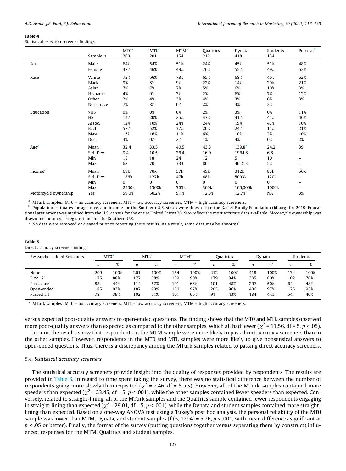<span id="page-11-0"></span>Statistical selection screener findings.

|                      | Sample $n$                                                 | MT <sub>0</sub> a<br>200             | MTL <sup>a</sup><br>201              | <b>MTM</b> <sup>a</sup><br>154       | Qualtrics<br>212                    | Dynata<br>418                               | Students<br>134                     | Pop est. <sup>b</sup>                                     |
|----------------------|------------------------------------------------------------|--------------------------------------|--------------------------------------|--------------------------------------|-------------------------------------|---------------------------------------------|-------------------------------------|-----------------------------------------------------------|
| Sex                  | Male<br>Female                                             | 64%<br>37%                           | 54%<br>46%                           | 51%<br>49%                           | 24%<br>76%                          | 45%<br>55%                                  | 51%<br>49%                          | 48%<br>52%                                                |
| Race                 | White<br>Black<br>Asian<br>Hispanic<br>Other<br>Not a race | 72%<br>9%<br>7%<br>4%<br>2%<br>7%    | 66%<br>8%<br>7%<br>9%<br>4%<br>8%    | 78%<br>9%<br>7%<br>3%<br>3%<br>0%    | 65%<br>22%<br>5%<br>2%<br>4%<br>2%  | 68%<br>14%<br>6%<br>6%<br>3%<br>3%          | 46%<br>29%<br>10%<br>7%<br>6%<br>2% | 62%<br>21%<br>3%<br>12%<br>3%<br>$\overline{\phantom{0}}$ |
| Education            | >HS<br>HS<br>Assoc.<br>Bach.<br>Mast.<br>Doc.              | 0%<br>14%<br>12%<br>57%<br>15%<br>3% | 0%<br>20%<br>10%<br>52%<br>16%<br>0% | 0%<br>25%<br>24%<br>37%<br>11%<br>2% | 2%<br>47%<br>24%<br>20%<br>6%<br>1% | 3%<br>41%<br>19%<br>24%<br>10%<br>4%        | 0%<br>41%<br>47%<br>11%<br>2%<br>0% | 11%<br>46%<br>10%<br>21%<br>10%<br>2%                     |
| Age <sup>c</sup>     | Mean<br>Std. Dev<br>Min<br>Max                             | 32.4<br>9.4<br>18<br>68              | 33.5<br>10.5<br>18<br>70             | 40.5<br>26.4<br>24<br>333            | 43.3<br>16.9<br>12<br>80            | 139.8 <sup>b</sup><br>1964.8<br>5<br>40,213 | 24.2<br>6.6<br>10<br>52             | 39<br>Ξ.<br>-                                             |
| Income $\epsilon$    | Mean<br>Std. Dev<br>Min<br>Max                             | 69k<br>186k<br>$\Omega$<br>2500k     | 70k<br>127k<br>$\Omega$<br>1300k     | 57k<br>47k<br>$\mathbf{0}$<br>365k   | 49k<br>48k<br>0<br>300k             | 312k<br>5003k<br>$\Omega$<br>100,000k       | 83k<br>120k<br>$\Omega$<br>1000k    | 56k<br>-<br>Ξ.                                            |
| Motorcycle ownership | Yes                                                        | 59.0%                                | 50.2%                                | 9.1%                                 | 12.3%                               | 12.7%                                       | NA                                  | 3%                                                        |

<sup>a</sup> MTurk samples: MT0 = no accuracy screeners, MTL = low accuracy screeners, MTM = high accuracy screeners.

<sup>b</sup> Population estimates for age, race, and income for the Southern U.S. states were drawn from the Kaiser Family Foundation (kff.org) for 2019. Educational attainment was attained from the U.S. census for the entire United States 2019 to reflect the most accurate data available. Motorcycle ownership was drawn for motorcycle registrations for the Southern U.S.

<sup>c</sup> No data were removed or cleaned prior to reporting these results. As a result, some data may be abnormal.

## Table 5

Direct accuracy screener findings.

| MT0 <sup>a</sup> |      | MTL <sup>a</sup> |      | <b>MTM</b> <sup>a</sup> |      | Oualtrics |                        | Dvnata |      | Students |      |
|------------------|------|------------------|------|-------------------------|------|-----------|------------------------|--------|------|----------|------|
| $\boldsymbol{n}$ | %    | n                | %    | n                       | %    | n         | $\alpha$<br>$\sqrt{2}$ | n      | $\%$ | n        | %    |
| 200              | 100% | 201              | 100% | 154                     | 100% | 212       | 100%                   | 418    | 100% | 134      | 100% |
| 175              | 88%  | 177              | 88%  | 139                     | 90%  | 179       | 84%                    | 335    | 80%  | 102      | 76%  |
| 88               | 44%  | 114              | 57%  | 101                     | 66%  | 101       | 48%                    | 207    | 50%  | 64       | 48%  |
| 185              | 93%  | 187              | 93%  | 150                     | 97%  | 203       | 96%                    | 406    | 97%  | 125      | 93%  |
| 78               | 39%  | 102              | 51%  | 101                     | 66%  | 91        | 43%                    | 184    | 44%  | 54       | 40%  |
|                  |      |                  |      |                         |      |           |                        |        |      |          |      |

<sup>a</sup> MTurk samples: MT0 = no accuracy screeners, MTL = low accuracy screeners, MTM = high accuracy screeners.

versus expected poor-quality answers to open-ended questions. The finding shows that the MT0 and MTL samples observed more poor-quality answers than expected as compared to the other samples, which all had fewer ( $\chi^2$  = 11.56, df = 5, p < .05).

In sum, the results show that respondents in the MTM sample were more likely to pass direct accuracy screeners than in the other samples. However, respondents in the MT0 and MTL samples were more likely to give nonsensical answers to open-ended questions. Thus, there is a discrepancy among the MTurk samples related to passing direct accuracy screeners.

## 5.4. Statistical accuracy screeners

The statistical accuracy screeners provide insight into the quality of responses provided by respondents. The results are provided in [Table 6.](#page-12-0) In regard to time spent taking the survey, there was no statistical difference between the number of respondents going more slowly than expected ( $\chi^2$  = 2.46, df = 5, ns). However, all of the MTurk samples contained more speeders than expected ( $\chi^2$  = 23.45, df = 5, p < .001), while the other samples contained fewer speeders than expected. Conversely, related to straight-lining, all of the MTurk samples and the Qualtrics sample contained fewer respondents engaging in straight-lining than expected ( $\chi^2$  = 29.01, df = 5, p < .001), while the Dynata and student samples contained more straightlining than expected. Based on a one-way ANOVA test using a Tukey's post hoc analysis, the personal reliability of the MT0 sample was lower than MTM, Dynata, and student samples (f  $(5, 1294) = 5.26$ ,  $p < .001$ , with mean differences significant at  $p < .05$  or better). Finally, the format of the survey (putting questions together versus separating them by construct) influenced responses for the MTM, Qualtrics and student samples.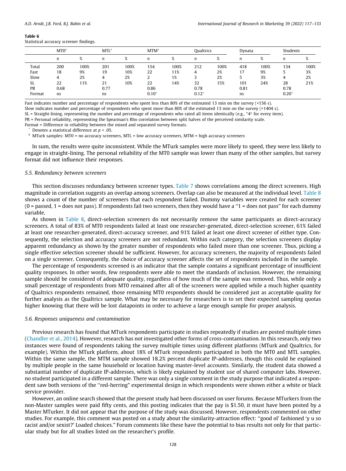<span id="page-12-0"></span>Statistical accuracy screener findings.

|        | MT0 <sup>a</sup> |      | <b>MTL<sup>a</sup></b> |      |         | <b>MTM<sup>a</sup></b> |                  | Qualtrics |                  | Dynata |                  | Students |
|--------|------------------|------|------------------------|------|---------|------------------------|------------------|-----------|------------------|--------|------------------|----------|
|        | n                | %    | n                      | %    | n       | %                      | $\boldsymbol{n}$ | %         | $\boldsymbol{n}$ | %      | $\boldsymbol{n}$ | 76       |
| Total  | 200              | 100% | 201                    | 100% | 154     | 100%                   | 212              | 100%      | 418              | 100%   | 134              | 100%     |
| Fast   | 18               | 9%   | 19                     | 10%  | 22      | 11%                    |                  | 2%        | ι,               | 9%     |                  | 3%       |
| Slow   | 4                | 2%   | 4                      | 2%   | ∠       | 1%                     |                  | 2%        |                  | 3%     | 4                | 2%       |
| SL     | 22               | 11%  | 21                     | 10%  | 22      | 14%                    | 32               | 15%       | 101              | 24%    | 28               | 21%      |
| PR     | 0.68             |      | 0.77                   |      | 0.86    |                        | 0.78             |           | 0.81             |        | 0.78             |          |
| Format | ns               |      | ns                     |      | $0.10*$ |                        | $0.12*$          |           | ns               |        | $0.20*$          |          |

Fast indicates number and percentage of respondents who spent less than 80% of the estimated 13 min on the survey (<156 s).

Slow indicates number and percentage of respondents who spent more than 80% of the estimated 13 min on the survey (>1404 s).

SL = Straight-lining, representing the number and percentage of respondents who rated all items identically (e.g., " $4$ " for every item).

PR = Personal reliability, representing the Spearman's Rho correlation between split halves of the perceived similarity scale.

Format = Difference in reliability between the mixed and separated survey formats.

Denotes a statistical difference at  $p < .05$ .

<sup>a</sup> MTurk samples: MT0 = no accuracy screeners, MTL = low accuracy screeners, MTM = high accuracy screeners

In sum, the results were quite inconsistent. While the MTurk samples were more likely to speed, they were less likely to engage in straight-lining. The personal reliability of the MT0 sample was lower than many of the other samples, but survey format did not influence their responses.

## 5.5. Redundancy between screeners

This section discusses redundancy between screener types. [Table 7](#page-13-0) shows correlations among the direct screeners. High magnitude in correlation suggests an overlap among screeners. Overlap can also be measured at the individual level. [Table 8](#page-13-0) shows a count of the number of screeners that each respondent failed. Dummy variables were created for each screener  $(0 =$  passed,  $1 =$  does not pass). If respondents fail two screeners, then they would have a " $1 =$  does not pass" for each dummy variable.

As shown in [Table 8](#page-13-0), direct-selection screeners do not necessarily remove the same participants as direct-accuracy screeners. A total of 83% of MT0 respondents failed at least one researcher-generated, direct-selection screener, 61% failed at least one researcher-generated, direct-accuracy screener, and 91% failed at least one direct screener of either type. Consequently, the selection and accuracy screeners are not redundant. Within each category, the selection screeners display apparent redundancy as shown by the greater number of respondents who failed more than one screener. Thus, picking a single effective selection screener should be sufficient. However, for accuracy screeners, the majority of respondents failed on a single screener. Consequently, the choice of accuracy screener affects the set of respondents included in the sample.

The percentage of respondents screened is an indicator that the sample contains a significant percentage of insufficient quality responses. In other words, few respondents were able to meet the standards of inclusion. However, the remaining sample should be considered of adequate quality, regardless of how much of the sample was removed. Thus, while only a small percentage of respondents from MT0 remained after all of the screeners were applied while a much higher quantity of Qualtrics respondents remained, those remaining MT0 respondents should be considered just as acceptable quality for further analysis as the Qualtrics sample. What may be necessary for researchers is to set their expected sampling quotas higher knowing that there will be lost datapoints in order to achieve a large enough sample for proper analysis.

## 5.6. Responses uniqueness and contamination

Previous research has found that MTurk respondents participate in studies repeatedly if studies are posted multiple times [\(Chandler et al., 2014\)](#page-16-0). However, research has not investigated other forms of cross-contamination. In this research, only two instances were found of respondents taking the survey multiple times using different platforms (MTurk and Qualtrics, for example). Within the MTurk platform, about 18% of MTurk respondents participated in both the MT0 and MTL samples. Within the same sample, the MTM sample showed 18.2% percent duplicate IP-addresses, though this could be explained by multiple people in the same household or location having master-level accounts. Similarly, the student data showed a substantial number of duplicate IP-addresses, which is likely explained by student use of shared computer labs. However, no student participated in a different sample. There was only a single comment in the study purpose that indicated a respondent saw both versions of the ''red-herring" experimental design in which respondents were shown either a white or black service provider.

However, an online search showed that the present study had been discussed on user forums. Because MTurkers from the non-Master samples were paid fifty cents, and this posting indicates that the pay is \$1.50, it must have been posted by a Master MTurker. It did not appear that the purpose of the study was discussed. However, respondents commented on other studies. For example, this comment was posted on a study about the similarity-attraction effect: ''good ol' fashioned 'y u so racist and/or sexist?' Loaded choices." Forum comments like these have the potential to bias results not only for that particular study but for all studies listed on the researcher's profile.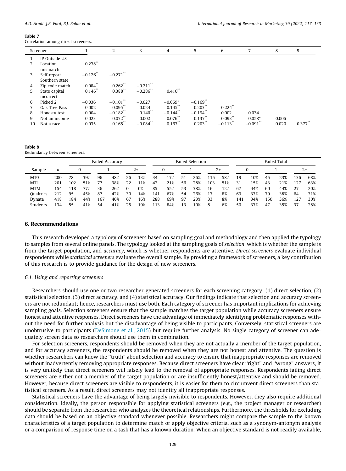<span id="page-13-0"></span>Correlation among direct screeners.

|    | Screener                      |                       | 2                      | 3                      | 4                      | 5                      | 6                      | 7                      | 8        | 9                     |
|----|-------------------------------|-----------------------|------------------------|------------------------|------------------------|------------------------|------------------------|------------------------|----------|-----------------------|
|    | IP Outside US                 |                       |                        |                        |                        |                        |                        |                        |          |                       |
| 2  | Location<br>mismatch          | 0.278                 |                        |                        |                        |                        |                        |                        |          |                       |
| 3  | Self-report<br>Southern state | $-0.126$ **           | $-0.271$ <sup>**</sup> |                        |                        |                        |                        |                        |          |                       |
| 4  | Zip code match                | $0.084$ <sup>**</sup> | $0.262$ <sup>**</sup>  | $-0.211$ <sup>**</sup> |                        |                        |                        |                        |          |                       |
| 5  | State capital<br>incorrect    | 0.146                 | $0.388$ **             | $-0.286$ **            | $0.410$ <sup>**</sup>  |                        |                        |                        |          |                       |
| 6  | Picked 2                      | $-0.036$              | $-0.101$ <sup>**</sup> | $-0.027$               | $-0.069*$              | $-0.169$ <sup>**</sup> |                        |                        |          |                       |
|    | Oak Tree Pass                 | $-0.002$              | $-0.095$ <sup>**</sup> | 0.024                  | $-0.145$ <sup>**</sup> | $-0.203$ <sup>**</sup> | $0.224$ **             |                        |          |                       |
| 8  | Honesty test                  | 0.004                 | $-0.182$ <sup>**</sup> | 0.140                  | $-0.144$ <sup>**</sup> | $-0.194$ <sup>**</sup> | 0.002                  | 0.034                  |          |                       |
| 9  | Not an income                 | $-0.023$              | $0.072$ <sup>**</sup>  | 0.002                  | $0.076$ <sup>**</sup>  | $0.137$ <sup>**</sup>  | $-0.093$ <sup>**</sup> | $-0.058*$              | $-0.006$ |                       |
| 10 | Not a race                    | 0.035                 | $0.165$ <sup>**</sup>  | $-0.084$ <sup>**</sup> | $0.163$ <sup>**</sup>  | $0.203$ <sup>**</sup>  | $-0.113$ <sup>**</sup> | $-0.091$ <sup>**</sup> | 0.020    | $0.377$ <sup>**</sup> |

#### Table 8

Redundancy between screeners.

|                  |     |     |     |     | Failed Accuracy |      |     | <b>Failed Selection</b> |     |    |     |      |     |          | <b>Failed Total</b> |     |     |          |     |  |
|------------------|-----|-----|-----|-----|-----------------|------|-----|-------------------------|-----|----|-----|------|-----|----------|---------------------|-----|-----|----------|-----|--|
| Sample           | n   |     |     |     |                 | $2+$ |     |                         |     |    |     | $2+$ |     | $\Omega$ |                     |     |     | $2+$     |     |  |
| MT <sub>0</sub>  | 200 | 78  | 39% | 96  | 48%             | 26   | 13% | 34                      | 17% | 51 | 26% | 15   | 58% | 19       | 10%                 | 45  | 23% | 136      | 68% |  |
| <b>MTL</b>       | 201 | 102 | 51% |     | 38%             | 22   | 11% | 42                      | 21% | 56 | 28% | 103  | 51% | 31       | 15%                 | 43  | 21% | 127      | 63% |  |
| <b>MTM</b>       | 154 | 18  | 77% | 36  | 26%             | 0    | 0%  | 85                      | 55% | 53 | 38% | 16   | 12% | 67       | 44%                 | 60  | 44% | 27       | 20% |  |
| <b>Oualtrics</b> | 212 | 95  | 45% | 87  | 42%             | 30   | 14% | 141                     | 67% | 54 | 26% |      | 8%  | 69       | 33%                 | 79  | 38% | 64       | 31% |  |
| Dynata           | 418 | 184 | 44% | 167 | 40%             | 67   | 16% | 288                     | 69% | 97 | 23% | 33   | 8%  | 141      | 34%                 | 150 | 36% | $12^{-}$ | 30% |  |
| Students         | 134 | 55  | 41% | 54  | 41%             | 25   | 19% | 13                      | 84% | 13 | 10% | 8    | 6%  | 50       | 37%                 | 47  | 35% | 37       | 28% |  |

## 6. Recommendations

This research developed a typology of screeners based on sampling goal and methodology and then applied the typology to samples from several online panels. The typology looked at the sampling goals of selection, which is whether the sample is from the target population, and accuracy, which is whether respondents are attentive. Direct screeners evaluate individual respondents while statistical screeners evaluate the overall sample. By providing a framework of screeners, a key contribution of this research is to provide guidance for the design of new screeners.

## 6.1. Using and reporting screeners

Researchers should use one or two researcher-generated screeners for each screening category: (1) direct selection, (2) statistical selection, (3) direct accuracy, and (4) statistical accuracy. Our findings indicate that selection and accuracy screeners are not redundant; hence, researchers must use both. Each category of screener has important implications for achieving sampling goals. Selection screeners ensure that the sample matches the target population while accuracy screeners ensure honest and attentive responses. Direct screeners have the advantage of immediately identifying problematic responses without the need for further analysis but the disadvantage of being visible to participants. Conversely, statistical screeners are unobtrusive to participants ([DeSimone et al., 2015](#page-16-0)) but require further analysis. No single category of screener can adequately screen data so researchers should use them in combination.

For selection screeners, respondents should be removed when they are not actually a member of the target population, and for accuracy screeners, the respondents should be removed when they are not honest and attentive. The question is whether researchers can know the ''truth" about selection and accuracy to ensure that inappropriate responses are removed without inadvertently removing appropriate responses. Because direct screeners have clear ''right" and ''wrong" answers, it is very unlikely that direct screeners will falsely lead to the removal of appropriate responses. Respondents failing direct screeners are either not a member of the target population or are insufficiently honest/attentive and should be removed. However, because direct screeners are visible to respondents, it is easier for them to circumvent direct screeners than statistical screeners. As a result, direct screeners may not identify all inappropriate responses.

Statistical screeners have the advantage of being largely invisible to respondents. However, they also require additional consideration. Ideally, the person responsible for applying statistical screeners (e.g., the project manager or researcher) should be separate from the researcher who analyzes the theoretical relationships. Furthermore, the thresholds for excluding data should be based on an objective standard whenever possible. Researchers might compare the sample to the known characteristics of a target population to determine match or apply objective criteria, such as a synonym-antonym analysis or a comparison of response time on a task that has a known duration. When an objective standard is not readily available,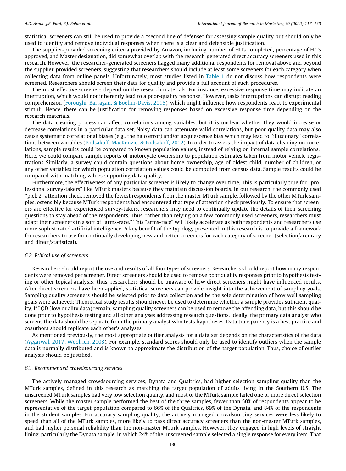statistical screeners can still be used to provide a ''second line of defense" for assessing sample quality but should only be used to identify and remove individual responses when there is a clear and defensible justification.

The supplier-provided screening criteria provided by Amazon, including number of HITs completed, percentage of HITs approved, and Master designation, did somewhat overlap with the research-generated direct accuracy screeners used in this research. However, the researcher-generated screeners flagged many additional respondents for removal above and beyond the supplier-provided screeners, suggesting that researchers should include at least some screeners for each category when collecting data from online panels. Unfortunately, most studies listed in [Table 1](#page-4-0) do not discuss how respondents were screened. Researchers should screen their data for quality and provide a full account of such procedures.

The most effective screeners depend on the research materials. For instance, excessive response time may indicate an interruption, which would not inherently lead to a poor-quality response. However, tasks interruptions can disrupt reading comprehension ([Foroughi, Barragan, & Boehm-Davis, 2015\)](#page-16-0), which might influence how respondents react to experimental stimuli. Hence, there can be justification for removing responses based on excessive response time depending on the research materials.

The data cleaning process can affect correlations among variables, but it is unclear whether they would increase or decrease correlations in a particular data set. Noisy data can attenuate valid correlations, but poor-quality data may also cause systematic correlational biases (e.g., the halo error) and/or acquiescence bias which may lead to ''illusionary" correlations between variables ([Podsakoff, MacKenzie, & Podsakoff, 2012\)](#page-17-0). In order to assess the impact of data cleaning on correlations, sample results could be compared to known population values, instead of relying on internal sample correlations. Here, we could compare sample reports of motorcycle ownership to population estimates taken from motor vehicle registrations. Similarly, a survey could contain questions about home ownership, age of oldest child, number of children, or any other variables for which population correlation values could be computed from census data. Sample results could be compared with matching values supporting data quality.

Furthermore, the effectiveness of any particular screener is likely to change over time. This is particularly true for ''professional survey-takers" like MTurk masters because they maintain discussion boards. In our research, the commonly used ''pick 2" attention check removed the fewest respondents from the master MTurk sample, followed by the other MTurk samples, ostensibly because MTurk respondents had encountered that type of attention check previously. To ensure that screeners are effective for experienced survey-takers, researchers may need to continually update the details of their screening questions to stay ahead of the respondents. Thus, rather than relying on a few commonly used screeners, researchers must adapt their screeners in a sort of ''arms-race." This ''arms-race" will likely accelerate as both respondents and researchers use more sophisticated artificial intelligence. A key benefit of the typology presented in this research is to provide a framework for researchers to use for continually developing new and better screeners for each category of screener (selection/accuracy and direct/statistical).

## 6.2. Ethical use of screeners

Researchers should report the use and results of all four types of screeners. Researchers should report how many respondents were removed per screener. Direct screeners should be used to remove poor quality responses prior to hypothesis testing or other topical analysis; thus, researchers should be unaware of how direct screeners might have influenced results. After direct screeners have been applied, statistical screeners can provide insight into the achievement of sampling goals. Sampling quality screeners should be selected prior to data collection and be the sole determination of how well sampling goals were achieved: Theoretical study results should never be used to determine whether a sample provides sufficient quality. If LQD (low quality data) remain, sampling quality screeners can be used to remove the offending data, but this should be done prior to hypothesis testing and all other analyses addressing research questions. Ideally, the primary data analyst who screens the data should be separate from the primary analyst who tests hypotheses. Data transparency is a best practice and coauthors should replicate each other's analyses.

As mentioned previously, the most appropriate outlier analysis for a data set depends on the characteristics of the data [\(Aggarwal, 2017; Woolrich, 2008](#page-16-0)). For example, standard scores should only be used to identify outliers when the sample data is normally distributed and is known to approximate the distribution of the target population. Thus, choice of outlier analysis should be justified.

## 6.3. Recommended crowdsourcing services

The actively managed crowdsourcing services, Dynata and Qualtrics, had higher selection sampling quality than the MTurk samples, defined in this research as matching the target population of adults living in the Southern U.S. The unscreened MTurk samples had very low selection quality, and most of the MTurk sample failed one or more direct selection screeners. While the master sample performed the best of the three samples, fewer than 50% of respondents appear to be representative of the target population compared to 66% of the Qualtrics, 69% of the Dynata, and 84% of the respondents in the student samples. For accuracy sampling quality, the actively-managed crowdsourcing services were less likely to speed than all of the MTurk samples, more likely to pass direct accuracy screeners than the non-master MTurk samples, and had higher personal reliability than the non-master MTurk samples. However, they engaged in high levels of straight lining, particularly the Dynata sample, in which 24% of the unscreened sample selected a single response for every item. That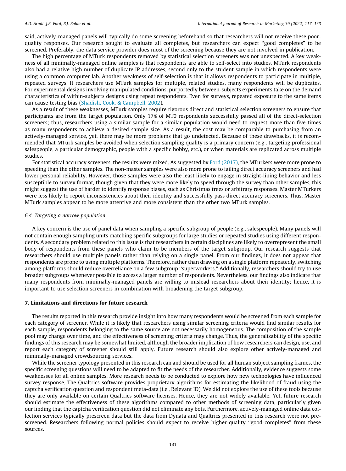said, actively-managed panels will typically do some screening beforehand so that researchers will not receive these poorquality responses. Our research sought to evaluate all completes, but researchers can expect ''good completes" to be screened. Preferably, the data service provider does most of the screening because they are not involved in publication.

The high percentage of MTurk respondents removed by statistical selection screeners was not unexpected. A key weakness of all minimally-managed online samples is that respondents are able to self-select into studies. MTurk respondents also had a relative high number of duplicate IP-addresses, second only to the student sample in which respondents were using a common computer lab. Another weakness of self-selection is that it allows respondents to participate in multiple, repeated surveys. If researchers use MTurk samples for multiple, related studies, many respondents will be duplicates. For experimental designs involving manipulated conditions, purportedly between-subjects experiments take on the demand characteristics of within-subjects designs using repeat respondents. Even for surveys, repeated exposure to the same items can cause testing bias ([Shadish, Cook, & Campbell, 2002](#page-17-0)).

As a result of these weaknesses, MTurk samples require rigorous direct and statistical selection screeners to ensure that participants are from the target population. Only 17% of MT0 respondents successfully passed all of the direct-selection screeners; thus, researchers using a similar sample for a similar population would need to request more than five times as many respondents to achieve a desired sample size. As a result, the cost may be comparable to purchasing from an actively-managed service, yet, there may be more problems that go undetected. Because of these drawbacks, it is recommended that MTurk samples be avoided when selection sampling quality is a primary concern (e.g., targeting professional salespeople, a particular demographic, people with a specific hobby, etc.), or when materials are replicated across multiple studies.

For statistical accuracy screeners, the results were mixed. As suggested by [Ford \(2017\)](#page-16-0), the MTurkers were more prone to speeding than the other samples. The non-master samples were also more prone to failing direct accuracy screeners and had lower personal reliability. However, those samples were also the least likely to engage in straight-lining behavior and less susceptible to survey format, though given that they were more likely to speed through the survey than other samples, this might suggest the use of harder to identify response biases, such as Christmas trees or arbitrary responses. Master MTurkers were less likely to report inconsistencies about their identity and successfully pass direct accuracy screeners. Thus, Master MTurk samples appear to be more attentive and more consistent than the other two MTurk samples.

## 6.4. Targeting a narrow population

A key concern is the use of panel data when sampling a specific subgroup of people (e.g., salespeople). Many panels will not contain enough sampling units matching specific subgroups for large studies or repeated studies using different respondents. A secondary problem related to this issue is that researchers in certain disciplines are likely to overrepresent the small body of respondents from these panels who claim to be members of the target subgroup. Our research suggests that researchers should use multiple panels rather than relying on a single panel. From our findings, it does not appear that respondents are prone to using multiple platforms. Therefore, rather than drawing on a single platform repeatedly, switching among platforms should reduce overreliance on a few subgroup ''superworkers." Additionally, researchers should try to use broader subgroups whenever possible to access a larger number of respondents. Nevertheless, our findings also indicate that many respondents from minimally-managed panels are willing to mislead researchers about their identity; hence, it is important to use selection screeners in combination with broadening the target subgroup.

## 7. Limitations and directions for future research

The results reported in this research provide insight into how many respondents would be screened from each sample for each category of screener. While it is likely that researchers using similar screening criteria would find similar results for each sample, respondents belonging to the same source are not necessarily homogeneous. The composition of the sample pool may change over time, and the effectiveness of screening criteria may change. Thus, the generalizability of the specific findings of this research may be somewhat limited, although the broader implication of how researchers can design, use, and report each category of screener should still apply. Future research should also explore other actively-managed and minimally-managed crowdsourcing services.

While the screener typology presented in this research can and should be used for all human subject sampling frames, the specific screening questions will need to be adapted to fit the needs of the researcher. Additionally, evidence suggests some weaknesses for all online samples. More research needs to be conducted to explore how new technologies have influenced survey response. The Qualtrics software provides proprietary algorithms for estimating the likelihood of fraud using the captcha verification question and respondent meta-data (i.e., Relevant ID). We did not explore the use of these tools because they are only available on certain Qualtrics software licenses. Hence, they are not widely available. Yet, future research should estimate the effectiveness of these algorithms compared to other methods of screening data, particularly given our finding that the captcha verification question did not eliminate any bots. Furthermore, actively-managed online data collection services typically prescreen data but the data from Dynata and Qualtrics presented in this research were not prescreened. Researchers following normal policies should expect to receive higher-quality ''good-completes" from these sources.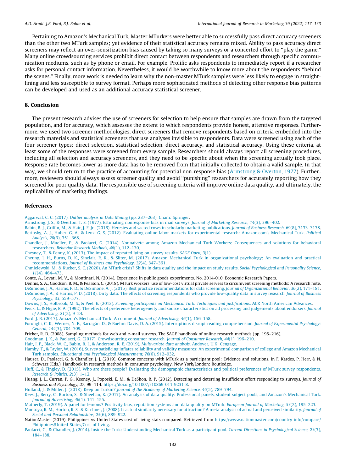<span id="page-16-0"></span>Pertaining to Amazon's Mechanical Turk, Master MTurkers were better able to successfully pass direct accuracy screeners than the other two MTurk samples; yet evidence of their statistical accuracy remains mixed. Ability to pass accuracy direct screeners may reflect an over-sensitization bias caused by taking so many surveys or a concerted effort to ''play the game." Many online crowdsourcing services prohibit direct contact between respondents and researchers through specific communication mediums, such as by phone or email. For example, Prolific asks respondents to immediately report if a researcher asks for personal contact information. Nevertheless, it would be worthwhile to know more about the respondents ''behind the scenes." Finally, more work is needed to learn why the non-master MTurk samples were less likely to engage in straightlining and less susceptible to survey format. Perhaps more sophisticated methods of detecting other response bias patterns can be developed and used as an additional accuracy statistical screener.

## 8. Conclusion

The present research advises the use of screeners for selection to help ensure that samples are drawn from the targeted population, and for accuracy, which assesses the extent to which respondents provide honest, attentive responses. Furthermore, we used two screener methodologies, direct screeners that remove respondents based on criteria embedded into the research materials and statistical screeners that use analyses invisible to respondents. Data were screened using each of the four screener types: direct selection, statistical selection, direct accuracy, and statistical accuracy. Using these criteria, at least some of the responses were screened from every sample. Researchers should always report all screening procedures, including all selection and accuracy screeners, and they need to be specific about when the screening actually took place. Response rate becomes lower as more data has to be removed from that initially collected to obtain a valid sample. In that way, we should return to the practice of accounting for potential non-response bias (Armstrong & Overton, 1977). Furthermore, reviewers should always assess screener quality and avoid ''punishing" researchers for accurately reporting how they screened for poor quality data. The responsible use of screening criteria will improve online data quality, and ultimately, the replicability of marketing findings.

## References

Aggarwal, C. C. (2017). Outlier analysis in Data Mining [\(pp. 237–263\). Cham: Springer](http://refhub.elsevier.com/S0167-8116(21)00020-3/h0005).

[Armstrong, J. S., & Overton, T. S. \(1977\). Estimating nonresponse bias in mail surveys.](http://refhub.elsevier.com/S0167-8116(21)00020-3/h0010) Journal of Marketing Research, 14(3), 396–402.

[Babin, B. J., Griffin, M., & Hair, J. F. Jr., \(2016\). Heresies and sacred cows in scholarly marketing publications.](http://refhub.elsevier.com/S0167-8116(21)00020-3/h0015) Journal of Business Research, 69(8), 3133-3138. [Berinsky, A. J., Huber, G. A., & Lenz, G. S. \(2012\). Evaluating online labor markets for experimental research: Amazon.com's Mechanical Turk.](http://refhub.elsevier.com/S0167-8116(21)00020-3/h0020) Political Analysis, 20[\(3\), 351–368](http://refhub.elsevier.com/S0167-8116(21)00020-3/h0020).

- [Chandler, J., Mueller, P., & Paolacci, G. \(2014\). Nonnaivete among Amazon Mechanical Turk Workers: Consequences and solutions for behavioral](http://refhub.elsevier.com/S0167-8116(21)00020-3/h0025) researchers. [Behavior Research Methods, 46](http://refhub.elsevier.com/S0167-8116(21)00020-3/h0025)(1), 112–130.
- [Chesney, T., & Penny, K. \(2013\). The impact of repeated lying on survey results.](http://refhub.elsevier.com/S0167-8116(21)00020-3/h0030) SAGE Open, 3(1).

[Cheung, J. H., Burns, D. K., Sinclair, R. R., & Sliter, M. \(2017\). Amazon Mechanical Turk in organizational psychology: An evaluation and practical](http://refhub.elsevier.com/S0167-8116(21)00020-3/h0035) recommendations. [Journal of Business and Psychology, 32](http://refhub.elsevier.com/S0167-8116(21)00020-3/h0035)(4), 347–361.

[Chmielewski, M., & Kucker, S. C. \(2020\). An MTurk crisis? Shifts in data quality and the impact on study results.](http://refhub.elsevier.com/S0167-8116(21)00020-3/h0040) Social Psychological and Personality Science, 11[\(4\), 464–473](http://refhub.elsevier.com/S0167-8116(21)00020-3/h0040).

Conte, A., Levati, M. V., & Montinari, N. (2014). Experience in public goods experiments. No. 2014-010. Economic Research Papers.

Dennis, S. A., Goodson, B. M., & Pearson, C. (2018). MTurk workers' use of low-cost virtual private servers to circumvent screening methods: A research note.

[DeSimone, J. A., Harms, P. D., & DeSimone, A. J. \(2015\). Best practice recommendations for data screening.](http://refhub.elsevier.com/S0167-8116(21)00020-3/h0055) Journal of Organizational Behavior, 36(2), 171–181. [DeSimone, J. A., & Harms, P. D. \(2018\). Dirty data: The effects of screening respondents who provide low-quality data in survey research.](http://refhub.elsevier.com/S0167-8116(21)00020-3/h0060) Journal of Business [Psychology, 33](http://refhub.elsevier.com/S0167-8116(21)00020-3/h0060), 559–577.

Downs, J. S., Holbrook, M. S., & Peel, E. (2012). [Screening participants on Mechanical Turk: Techniques and justifications](http://refhub.elsevier.com/S0167-8116(21)00020-3/h0065). ACR North American Advances. [Feick, L., & Higie, R. A. \(1992\). The effects of preference heterogeneity and source characteristics on ad processing and judgements about endorsers.](http://refhub.elsevier.com/S0167-8116(21)00020-3/h0070) Journal [of Advertising, 21](http://refhub.elsevier.com/S0167-8116(21)00020-3/h0070)(2), 9–24.

[Ford, J. B. \(2017\). Amazon's Mechanical Turk: A comment.](http://refhub.elsevier.com/S0167-8116(21)00020-3/h0075) Journal of Advertising, 46(1), 156–158.

- [Foroughi, C. K., Werner, N. E., Barragán, D., & Boehm-Davis, D. A. \(2015\). Interruptions disrupt reading comprehension.](http://refhub.elsevier.com/S0167-8116(21)00020-3/h0080) Journal of Experimental Psychology: General, 144[\(3\), 704–709](http://refhub.elsevier.com/S0167-8116(21)00020-3/h0080).
- Fricker, R. D. (2008). Sampling methods for web and e-mail surveys. The SAGE handbook of online research methods (pp. 195–216).

[Goodman, J. K., & Paolacci, G. \(2017\). Crowdsourcing consumer research.](http://refhub.elsevier.com/S0167-8116(21)00020-3/h0090) Journal of Consumer Research, 44(1), 196–210.

[Hair, J. F., Black, W. C., Babin, B. J., & Anderson, R. E. \(2019\).](http://refhub.elsevier.com/S0167-8116(21)00020-3/h0095) Multivariate data analysis. Andover, U.K: Cengage.

[Hamby, T., & Taylor, W. \(2016\). Survey satisficing inflates reliability and validity measures: An experimental comparison of college and Amazon Mechanical](http://refhub.elsevier.com/S0167-8116(21)00020-3/h0100) Turk samples. [Educational and Psychological Measurement, 76](http://refhub.elsevier.com/S0167-8116(21)00020-3/h0100)(6), 912–932.

Hauser, D., Paolacci, G. & Chandler, J. J. (2019). Common concerns with MTurk as a participant pool: Evidence and solutions. In F. Kardes, P. Herr, & N. Schwarz (Eds.), Handbook in research methods in consumer psychology. New York/London: Routledge.

[Huff, C., & Tingley, D. \(2015\). Who are these people? Evaluating the demographic characteristics and political preferences of MTurk survey respondents.](http://refhub.elsevier.com/S0167-8116(21)00020-3/h0115) [Research & Politics, 2](http://refhub.elsevier.com/S0167-8116(21)00020-3/h0115)(3), 1–12.

Huang, J. L., Curran, P. G., Keeney, J., Poposki, E. M., & DeShon, R. P. (2012). Detecting and deterring insufficient effort responding to surveys. Journal of Business and Psychology, 27, 99–114. [https://doi.org/10.1007/s10869-011-9231-8.](https://doi.org/10.1007/s10869-011-9231-8)

[Hulland, J., & Miller, J. \(2018\). Keep on Turkin?](http://refhub.elsevier.com/S0167-8116(21)00020-3/h0125) Journal of the Academy of Marketing Science, 46(5), 789–794.

[Kees, J., Berry, C., Burton, S., & Sheehan, K. \(2017\). An analysis of data quality: Professional panels, student subject pools, and Amazon's Mechanical Turk.](http://refhub.elsevier.com/S0167-8116(21)00020-3/h0130) [Journal of Advertising, 46](http://refhub.elsevier.com/S0167-8116(21)00020-3/h0130)(1), 141–155.

[Matherly, T. \(2019\). A panel for lemons? Positivity bias, reputation systems and data quality on MTurk.](http://refhub.elsevier.com/S0167-8116(21)00020-3/h0135) European Journal of Marketing, 53(2), 195–223. [Montoya, R. M., Horton, R. S., & Kirchner, J. \(2008\). Is actual similarity necessary for attraction? A meta-analysis of actual and perceived similarity.](http://refhub.elsevier.com/S0167-8116(21)00020-3/h0140) Journal of [Social and Personal Relationships, 25](http://refhub.elsevier.com/S0167-8116(21)00020-3/h0140)(6), 889–922.

NationMaster (2019). Philippines vs United States cost of living stats compared. Retrieved from [https://www.nationmaster.com/country-info/compare/](https://www.nationmaster.com/country-info/compare/Philippines/United-States/Cost-of-living) [Philippines/United-States/Cost-of-living](https://www.nationmaster.com/country-info/compare/Philippines/United-States/Cost-of-living).

[Paolacci, G., & Chandler, J. \(2014\). Inside the Turk: Understanding Mechanical Turk as a participant pool.](http://refhub.elsevier.com/S0167-8116(21)00020-3/h0150) Current Directions in Psychological Science, 23(3), [184–188.](http://refhub.elsevier.com/S0167-8116(21)00020-3/h0150)